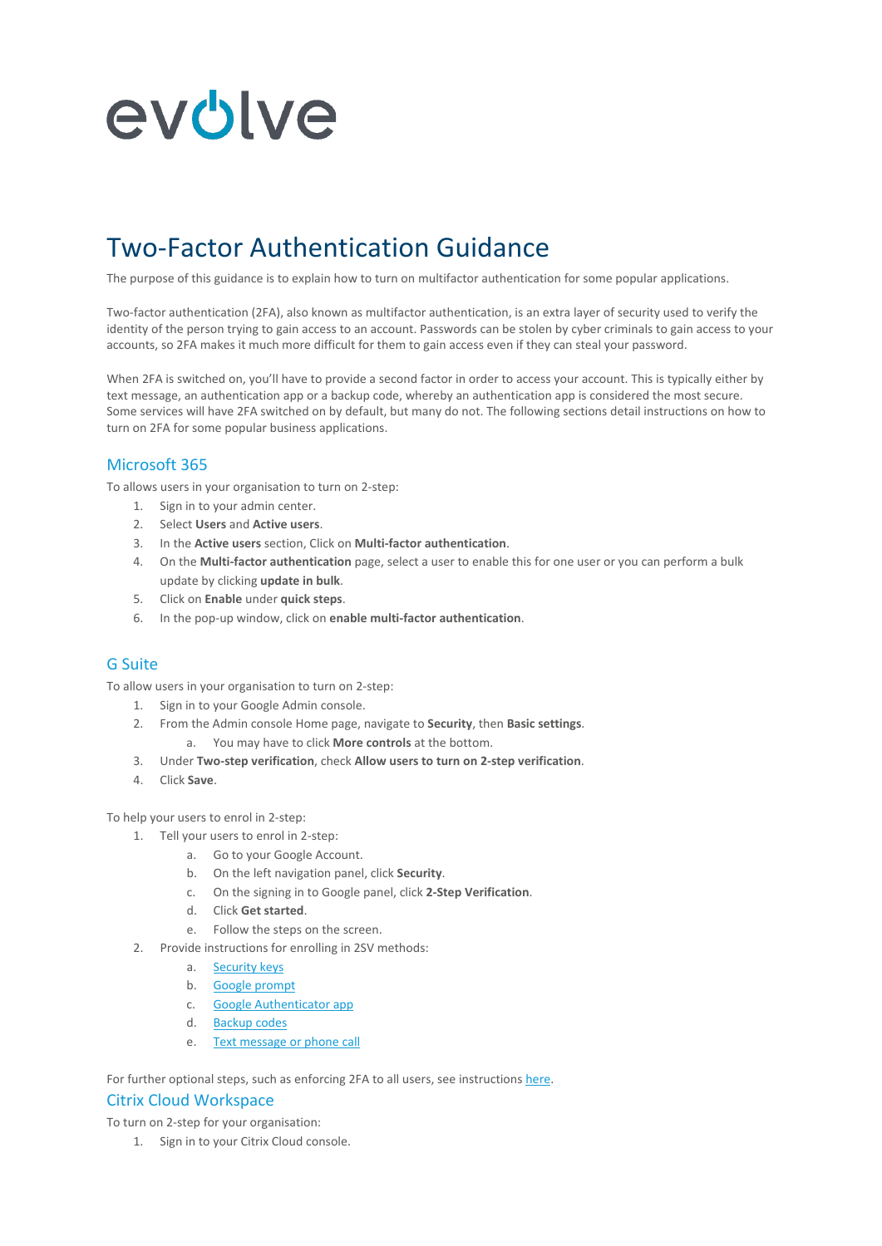

# Two-Factor Authentication Guidance

The purpose of this guidance is to explain how to turn on multifactor authentication for some popular applications.

Two-factor authentication (2FA), also known as multifactor authentication, is an extra layer of security used to verify the identity of the person trying to gain access to an account. Passwords can be stolen by cyber criminals to gain access to your accounts, so 2FA makes it much more difficult for them to gain access even if they can steal your password.

When 2FA is switched on, you'll have to provide a second factor in order to access your account. This is typically either by text message, an authentication app or a backup code, whereby an authentication app is considered the most secure. Some services will have 2FA switched on by default, but many do not. The following sections detail instructions on how to turn on 2FA for some popular business applications.

## Microsoft 365

To allows users in your organisation to turn on 2-step:

- 1. Sign in to your admin center.
- 2. Select **Users** and **Active users**.
- 3. In the **Active users** section, Click on **Multi-factor authentication**.
- 4. On the **Multi-factor authentication** page, select a user to enable this for one user or you can perform a bulk update by clicking **update in bulk**.
- 5. Click on **Enable** under **quick steps**.
- 6. In the pop-up window, click on **enable multi-factor authentication**.

#### G Suite

To allow users in your organisation to turn on 2-step:

- 1. Sign in to your Google Admin console.
- 2. From the Admin console Home page, navigate to **Security**, then **Basic settings**.
	- a. You may have to click **More controls** at the bottom.
- 3. Under **Two-step verification**, check **Allow users to turn on 2-step verification**.
- 4. Click **Save**.

To help your users to enrol in 2-step:

- 1. Tell your users to enrol in 2-step:
	- a. Go to your Google Account.
	- b. On the left navigation panel, click **Security**.
	- c. On the signing in to Google panel, click **2-Step Verification**.
	- d. Click **Get started**.
	- e. Follow the steps on the screen.
- 2. Provide instructions for enrolling in 2SV methods:
	- a. [Security keys](https://support.google.com/accounts/answer/6103523?co=GENIE.Platform%3DAndroid&hl=en)
	- b. [Google prompt](https://support.google.com/accounts/answer/7026266)
	- c. [Google Authenticator app](https://support.google.com/accounts/answer/1066447)
	- d. [Backup codes](https://support.google.com/accounts/answer/1187538?hl=en)
	- e. [Text message or phone call](https://support.google.com/accounts/answer/185839?hl=en&ref_topic=2954345)

For further optional steps, such as enforcing 2FA to all users, see instructions [here.](https://support.google.com/a/answer/9176657?hl=en&ref_topic=2759193)

#### Citrix Cloud Workspace

To turn on 2-step for your organisation:

1. Sign in to your Citrix Cloud console.